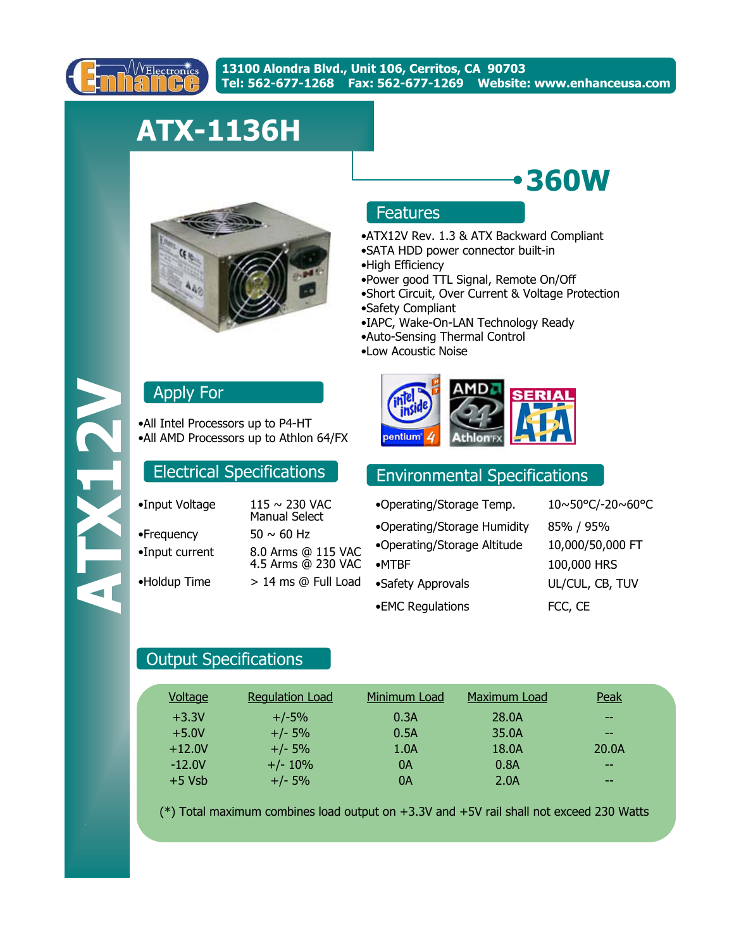

# **ATX-1136H**



### Features

•ATX12V Rev. 1.3 & ATX Backward Compliant

**360W**

- •SATA HDD power connector built-in
- •High Efficiency
- •Power good TTL Signal, Remote On/Off
- •Short Circuit, Over Current & Voltage Protection
- •Safety Compliant
- •IAPC, Wake-On-LAN Technology Ready
- •Auto-Sensing Thermal Control
- •Low Acoustic Noise



## Electrical Specifications Environmental Specifications

| •Operating/Storage Temp.    | 10~50°C/-20~60°C |
|-----------------------------|------------------|
| •Operating/Storage Humidity | 85% / 95%        |
| •Operating/Storage Altitude | 10,000/50,000 FT |
| $\bullet$ MTBF              | 100,000 HRS      |
| •Safety Approvals           | UL/CUL, CB, TUV  |
| •EMC Regulations            | FCC, CE          |

## Apply For

•All Intel Processors up to P4-HT •All AMD Processors up to Athlon 64/FX

| •Input Voltage | 115 ~ 230 VAC<br><b>Manual Select</b>    |
|----------------|------------------------------------------|
| •Frequency     | $50 \sim 60$ Hz                          |
| •Input current | 8.0 Arms @ 115 VAC<br>4.5 Arms @ 230 VAC |
| •Holdup Time   | > 14 ms @ Full Load                      |
|                |                                          |

### Output Specifications

| Voltage  | <b>Regulation Load</b> | Minimum Load | Maximum Load | Peak  |  |
|----------|------------------------|--------------|--------------|-------|--|
| $+3.3V$  | $+/-5%$                | 0.3A         | 28.0A        | $- -$ |  |
| $+5.0V$  | $+/- 5%$               | 0.5A         | 35.0A        | $- -$ |  |
| $+12.0V$ | $+/- 5%$               | 1.0A         | 18.0A        | 20.0A |  |
| $-12.0V$ | $+/- 10%$              | 0A           | 0.8A         | $- -$ |  |
| $+5$ Vsb | $+/- 5%$               | 0A           | 2.0A         | $- -$ |  |

(\*) Total maximum combines load output on +3.3V and +5V rail shall not exceed 230 Watts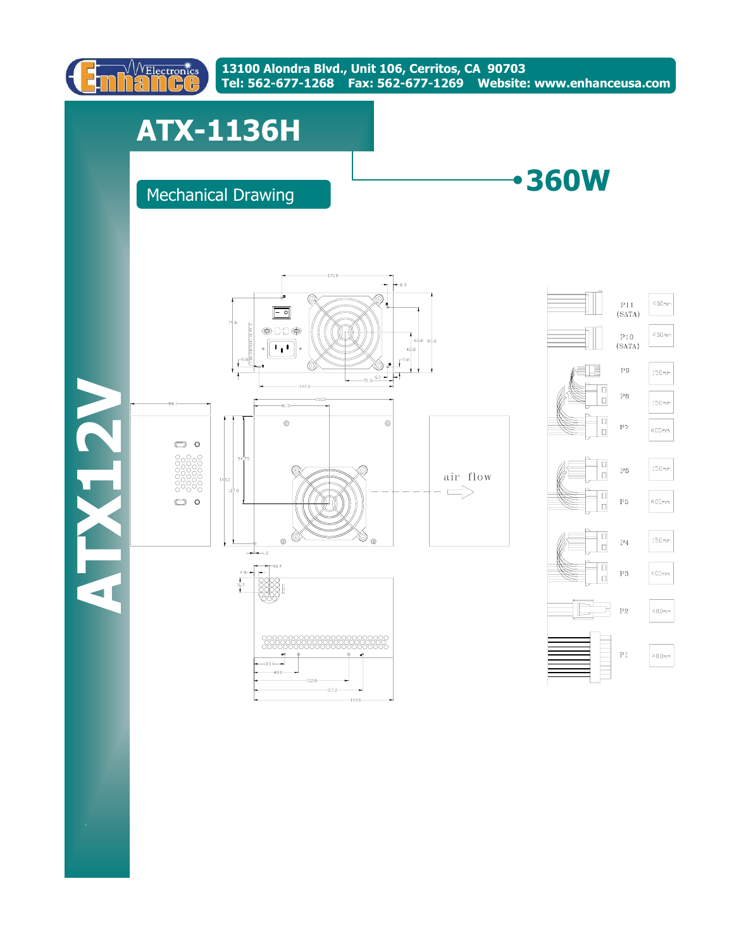

# **ATX-1136H**

## Mechanical Drawing

**360W**

**ATX12V**  VETX